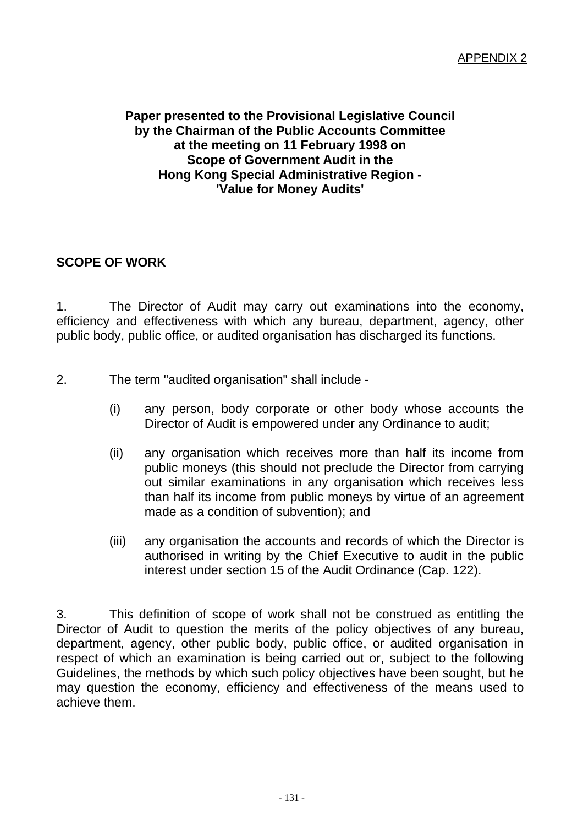## **Paper presented to the Provisional Legislative Council by the Chairman of the Public Accounts Committee at the meeting on 11 February 1998 on Scope of Government Audit in the Hong Kong Special Administrative Region - 'Value for Money Audits'**

## **SCOPE OF WORK**

1. The Director of Audit may carry out examinations into the economy, efficiency and effectiveness with which any bureau, department, agency, other public body, public office, or audited organisation has discharged its functions.

- 2. The term "audited organisation" shall include
	- (i) any person, body corporate or other body whose accounts the Director of Audit is empowered under any Ordinance to audit;
	- (ii) any organisation which receives more than half its income from public moneys (this should not preclude the Director from carrying out similar examinations in any organisation which receives less than half its income from public moneys by virtue of an agreement made as a condition of subvention); and
	- (iii) any organisation the accounts and records of which the Director is authorised in writing by the Chief Executive to audit in the public interest under section 15 of the Audit Ordinance (Cap. 122).

3. This definition of scope of work shall not be construed as entitling the Director of Audit to question the merits of the policy objectives of any bureau, department, agency, other public body, public office, or audited organisation in respect of which an examination is being carried out or, subject to the following Guidelines, the methods by which such policy objectives have been sought, but he may question the economy, efficiency and effectiveness of the means used to achieve them.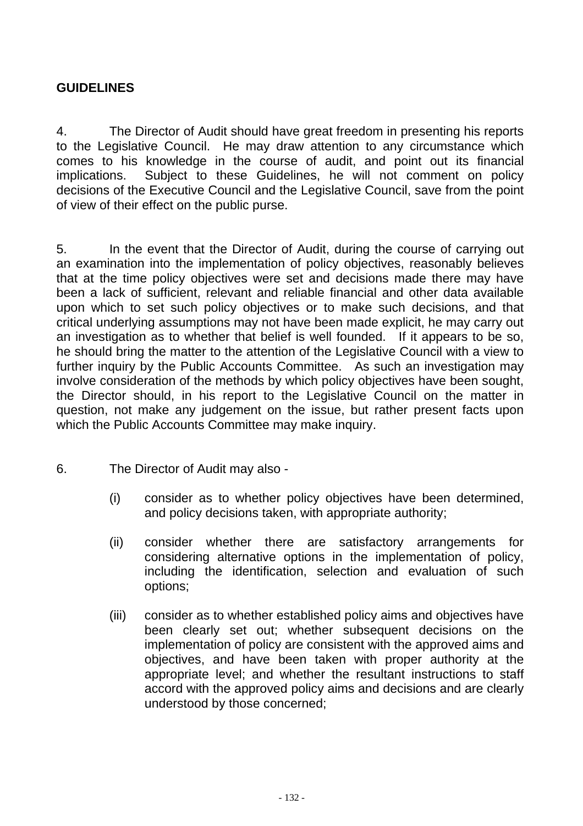## **GUIDELINES**

4. The Director of Audit should have great freedom in presenting his reports to the Legislative Council. He may draw attention to any circumstance which comes to his knowledge in the course of audit, and point out its financial implications. Subject to these Guidelines, he will not comment on policy decisions of the Executive Council and the Legislative Council, save from the point of view of their effect on the public purse.

5. In the event that the Director of Audit, during the course of carrying out an examination into the implementation of policy objectives, reasonably believes that at the time policy objectives were set and decisions made there may have been a lack of sufficient, relevant and reliable financial and other data available upon which to set such policy objectives or to make such decisions, and that critical underlying assumptions may not have been made explicit, he may carry out an investigation as to whether that belief is well founded. If it appears to be so, he should bring the matter to the attention of the Legislative Council with a view to further inquiry by the Public Accounts Committee. As such an investigation may involve consideration of the methods by which policy objectives have been sought, the Director should, in his report to the Legislative Council on the matter in question, not make any judgement on the issue, but rather present facts upon which the Public Accounts Committee may make inquiry.

- 6. The Director of Audit may also
	- (i) consider as to whether policy objectives have been determined, and policy decisions taken, with appropriate authority;
	- (ii) consider whether there are satisfactory arrangements for considering alternative options in the implementation of policy, including the identification, selection and evaluation of such options;
	- (iii) consider as to whether established policy aims and objectives have been clearly set out; whether subsequent decisions on the implementation of policy are consistent with the approved aims and objectives, and have been taken with proper authority at the appropriate level; and whether the resultant instructions to staff accord with the approved policy aims and decisions and are clearly understood by those concerned;